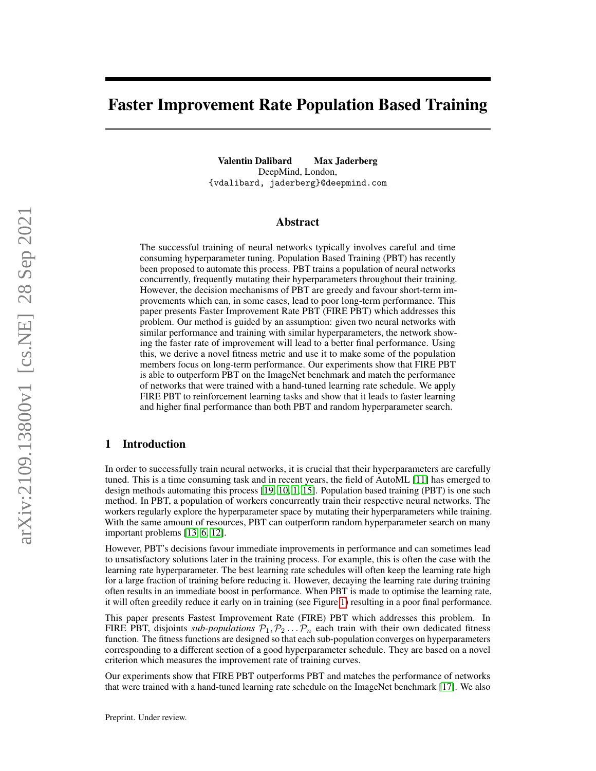# Faster Improvement Rate Population Based Training

Valentin Dalibard Max Jaderberg DeepMind, London, {vdalibard, jaderberg}@deepmind.com

## Abstract

The successful training of neural networks typically involves careful and time consuming hyperparameter tuning. Population Based Training (PBT) has recently been proposed to automate this process. PBT trains a population of neural networks concurrently, frequently mutating their hyperparameters throughout their training. However, the decision mechanisms of PBT are greedy and favour short-term improvements which can, in some cases, lead to poor long-term performance. This paper presents Faster Improvement Rate PBT (FIRE PBT) which addresses this problem. Our method is guided by an assumption: given two neural networks with similar performance and training with similar hyperparameters, the network showing the faster rate of improvement will lead to a better final performance. Using this, we derive a novel fitness metric and use it to make some of the population members focus on long-term performance. Our experiments show that FIRE PBT is able to outperform PBT on the ImageNet benchmark and match the performance of networks that were trained with a hand-tuned learning rate schedule. We apply FIRE PBT to reinforcement learning tasks and show that it leads to faster learning and higher final performance than both PBT and random hyperparameter search.

## 1 Introduction

In order to successfully train neural networks, it is crucial that their hyperparameters are carefully tuned. This is a time consuming task and in recent years, the field of AutoML [\[11\]](#page-9-0) has emerged to design methods automating this process [\[19,](#page-10-0) [10,](#page-9-1) [1,](#page-9-2) [15\]](#page-9-3). Population based training (PBT) is one such method. In PBT, a population of workers concurrently train their respective neural networks. The workers regularly explore the hyperparameter space by mutating their hyperparameters while training. With the same amount of resources, PBT can outperform random hyperparameter search on many important problems [\[13,](#page-9-4) [6,](#page-9-5) [12\]](#page-9-6).

However, PBT's decisions favour immediate improvements in performance and can sometimes lead to unsatisfactory solutions later in the training process. For example, this is often the case with the learning rate hyperparameter. The best learning rate schedules will often keep the learning rate high for a large fraction of training before reducing it. However, decaying the learning rate during training often results in an immediate boost in performance. When PBT is made to optimise the learning rate, it will often greedily reduce it early on in training (see Figure [1\)](#page-1-0) resulting in a poor final performance.

This paper presents Fastest Improvement Rate (FIRE) PBT which addresses this problem. In FIRE PBT, disjoints *sub-populations*  $P_1, P_2, \ldots, P_n$  each train with their own dedicated fitness function. The fitness functions are designed so that each sub-population converges on hyperparameters corresponding to a different section of a good hyperparameter schedule. They are based on a novel criterion which measures the improvement rate of training curves.

Our experiments show that FIRE PBT outperforms PBT and matches the performance of networks that were trained with a hand-tuned learning rate schedule on the ImageNet benchmark [\[17\]](#page-9-7). We also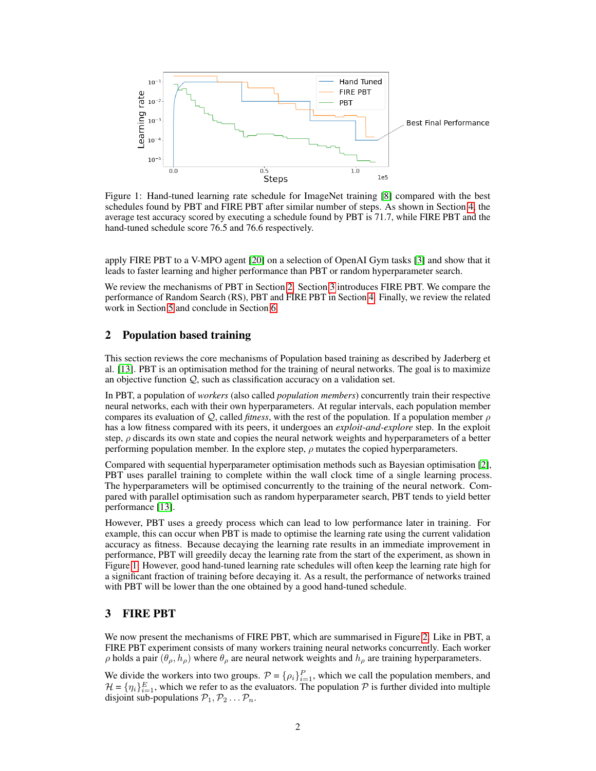<span id="page-1-0"></span>

Figure 1: Hand-tuned learning rate schedule for ImageNet training [\[8\]](#page-9-8) compared with the best schedules found by PBT and FIRE PBT after similar number of steps. As shown in Section [4,](#page-5-0) the average test accuracy scored by executing a schedule found by PBT is 71.7, while FIRE PBT and the hand-tuned schedule score 76.5 and 76.6 respectively.

apply FIRE PBT to a V-MPO agent [\[20\]](#page-10-1) on a selection of OpenAI Gym tasks [\[3\]](#page-9-9) and show that it leads to faster learning and higher performance than PBT or random hyperparameter search.

We review the mechanisms of PBT in Section [2.](#page-1-1) Section [3](#page-1-2) introduces FIRE PBT. We compare the performance of Random Search (RS), PBT and FIRE PBT in Section [4.](#page-5-0) Finally, we review the related work in Section [5](#page-8-0) and conclude in Section [6.](#page-8-1)

## <span id="page-1-1"></span>2 Population based training

This section reviews the core mechanisms of Population based training as described by Jaderberg et al. [\[13\]](#page-9-4). PBT is an optimisation method for the training of neural networks. The goal is to maximize an objective function Q, such as classification accuracy on a validation set.

In PBT, a population of *workers* (also called *population members*) concurrently train their respective neural networks, each with their own hyperparameters. At regular intervals, each population member compares its evaluation of  $Q$ , called *fitness*, with the rest of the population. If a population member  $\rho$ has a low fitness compared with its peers, it undergoes an *exploit-and-explore* step. In the exploit step,  $\rho$  discards its own state and copies the neural network weights and hyperparameters of a better performing population member. In the explore step,  $\rho$  mutates the copied hyperparameters.

Compared with sequential hyperparameter optimisation methods such as Bayesian optimisation [\[2\]](#page-9-10), PBT uses parallel training to complete within the wall clock time of a single learning process. The hyperparameters will be optimised concurrently to the training of the neural network. Compared with parallel optimisation such as random hyperparameter search, PBT tends to yield better performance [\[13\]](#page-9-4).

However, PBT uses a greedy process which can lead to low performance later in training. For example, this can occur when PBT is made to optimise the learning rate using the current validation accuracy as fitness. Because decaying the learning rate results in an immediate improvement in performance, PBT will greedily decay the learning rate from the start of the experiment, as shown in Figure [1.](#page-1-0) However, good hand-tuned learning rate schedules will often keep the learning rate high for a significant fraction of training before decaying it. As a result, the performance of networks trained with PBT will be lower than the one obtained by a good hand-tuned schedule.

## <span id="page-1-2"></span>3 FIRE PBT

We now present the mechanisms of FIRE PBT, which are summarised in Figure [2.](#page-2-0) Like in PBT, a FIRE PBT experiment consists of many workers training neural networks concurrently. Each worker  $ρ$  holds a pair  $(θ<sub>ρ</sub>, h<sub>ρ</sub>)$  where  $θ<sub>ρ</sub>$  are neural network weights and  $h<sub>ρ</sub>$  are training hyperparameters.

We divide the workers into two groups.  $P = \{\rho_i\}_{i=1}^P$ , which we call the population members, and  $\mathcal{H} = \{\eta_i\}_{i=1}^E$ , which we refer to as the evaluators. The population  $\mathcal P$  is further divided into multiple disjoint sub-populations  $P_1, P_2 \ldots P_n$ .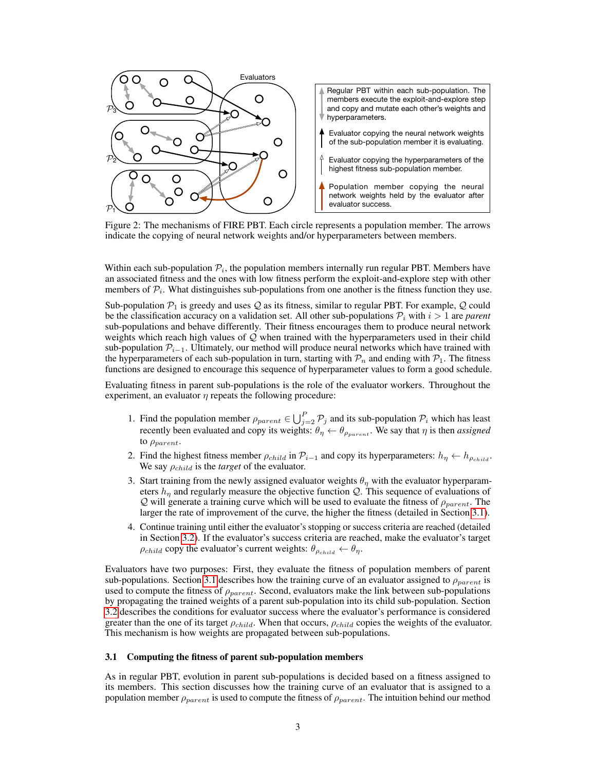<span id="page-2-0"></span>

Figure 2: The mechanisms of FIRE PBT. Each circle represents a population member. The arrows indicate the copying of neural network weights and/or hyperparameters between members.

Within each sub-population  $P_i$ , the population members internally run regular PBT. Members have an associated fitness and the ones with low fitness perform the exploit-and-explore step with other members of  $\mathcal{P}_i$ . What distinguishes sub-populations from one another is the fitness function they use.

Sub-population  $P_1$  is greedy and uses Q as its fitness, similar to regular PBT. For example, Q could be the classification accuracy on a validation set. All other sub-populations  $P_i$  with  $i > 1$  are *parent* sub-populations and behave differently. Their fitness encourages them to produce neural network weights which reach high values of  $Q$  when trained with the hyperparameters used in their child sub-population  $\mathcal{P}_{i-1}$ . Ultimately, our method will produce neural networks which have trained with the hyperparameters of each sub-population in turn, starting with  $\mathcal{P}_n$  and ending with  $\mathcal{P}_1$ . The fitness functions are designed to encourage this sequence of hyperparameter values to form a good schedule.

Evaluating fitness in parent sub-populations is the role of the evaluator workers. Throughout the experiment, an evaluator  $\eta$  repeats the following procedure:

- 1. Find the population member  $\rho_{parent} \in \bigcup_{j=2}^{P} P_j$  and its sub-population  $P_i$  which has least recently been evaluated and copy its weights:  $\theta_{\eta} \leftarrow \theta_{\rho_{parent}}$ . We say that  $\eta$  is then *assigned* to  $\rho_{parent}$ .
- 2. Find the highest fitness member  $\rho_{child}$  in  $\mathcal{P}_{i-1}$  and copy its hyperparameters:  $h_{\eta} \leftarrow h_{\rho_{child}}$ . We say  $\rho_{child}$  is the *target* of the evaluator.
- 3. Start training from the newly assigned evaluator weights  $\theta_{\eta}$  with the evaluator hyperparameters  $h_{\eta}$  and regularly measure the objective function Q. This sequence of evaluations of  $Q$  will generate a training curve which will be used to evaluate the fitness of  $\rho_{parent}$ . The larger the rate of improvement of the curve, the higher the fitness (detailed in Section [3.1\)](#page-2-1).
- 4. Continue training until either the evaluator's stopping or success criteria are reached (detailed in Section [3.2\)](#page-4-0). If the evaluator's success criteria are reached, make the evaluator's target  $\rho_{child}$  copy the evaluator's current weights:  $\theta_{\rho_{child}} \leftarrow \theta_{\eta}$ .

Evaluators have two purposes: First, they evaluate the fitness of population members of parent sub-populations. Section [3.1](#page-2-1) describes how the training curve of an evaluator assigned to  $\rho_{parent}$  is used to compute the fitness of  $\rho_{parent}$ . Second, evaluators make the link between sub-populations by propagating the trained weights of a parent sub-population into its child sub-population. Section [3.2](#page-4-0) describes the conditions for evaluator success where the evaluator's performance is considered greater than the one of its target  $\rho_{child}$ . When that occurs,  $\rho_{child}$  copies the weights of the evaluator. This mechanism is how weights are propagated between sub-populations.

## <span id="page-2-1"></span>3.1 Computing the fitness of parent sub-population members

As in regular PBT, evolution in parent sub-populations is decided based on a fitness assigned to its members. This section discusses how the training curve of an evaluator that is assigned to a population member  $\rho_{parent}$  is used to compute the fitness of  $\rho_{parent}$ . The intuition behind our method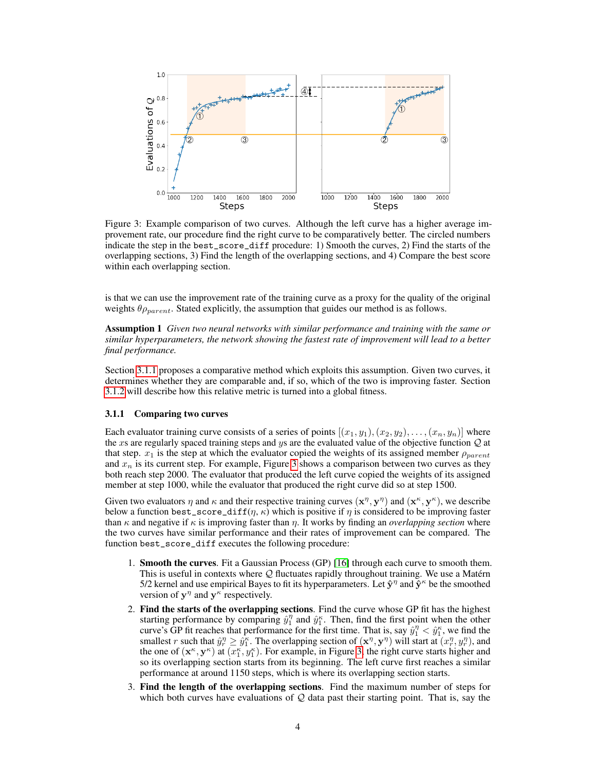<span id="page-3-1"></span>

Figure 3: Example comparison of two curves. Although the left curve has a higher average improvement rate, our procedure find the right curve to be comparatively better. The circled numbers indicate the step in the best\_score\_diff procedure: 1) Smooth the curves, 2) Find the starts of the overlapping sections, 3) Find the length of the overlapping sections, and 4) Compare the best score within each overlapping section.

is that we can use the improvement rate of the training curve as a proxy for the quality of the original weights  $\theta_{Pparent}$ . Stated explicitly, the assumption that guides our method is as follows.

<span id="page-3-2"></span>Assumption 1 *Given two neural networks with similar performance and training with the same or similar hyperparameters, the network showing the fastest rate of improvement will lead to a better final performance.*

Section [3.1.1](#page-3-0) proposes a comparative method which exploits this assumption. Given two curves, it determines whether they are comparable and, if so, which of the two is improving faster. Section [3.1.2](#page-4-1) will describe how this relative metric is turned into a global fitness.

## <span id="page-3-0"></span>3.1.1 Comparing two curves

Each evaluator training curve consists of a series of points  $[(x_1, y_1), (x_2, y_2), \dots, (x_n, y_n)]$  where the xs are regularly spaced training steps and ys are the evaluated value of the objective function  $Q$  at that step.  $x_1$  is the step at which the evaluator copied the weights of its assigned member  $\rho_{parent}$ and  $x_n$  is its current step. For example, Figure [3](#page-3-1) shows a comparison between two curves as they both reach step 2000. The evaluator that produced the left curve copied the weights of its assigned member at step 1000, while the evaluator that produced the right curve did so at step 1500.

Given two evaluators  $\eta$  and  $\kappa$  and their respective training curves  $(x^{\eta}, y^{\eta})$  and  $(x^{\kappa}, y^{\kappa})$ , we describe below a function best\_score\_diff( $\eta$ ,  $\kappa$ ) which is positive if  $\eta$  is considered to be improving faster than  $\kappa$  and negative if  $\kappa$  is improving faster than  $\eta$ . It works by finding an *overlapping section* where the two curves have similar performance and their rates of improvement can be compared. The function best\_score\_diff executes the following procedure:

- 1. Smooth the curves. Fit a Gaussian Process (GP) [\[16\]](#page-9-11) through each curve to smooth them. This is useful in contexts where Q fluctuates rapidly throughout training. We use a Matérn 5/2 kernel and use empirical Bayes to fit its hyperparameters. Let  $\hat{\mathbf{y}}^{\eta}$  and  $\hat{\mathbf{y}}^{\kappa}$  be the smoothed version of  $y^{\eta}$  and  $y^{\kappa}$  respectively.
- 2. Find the starts of the overlapping sections. Find the curve whose GP fit has the highest starting performance by comparing  $\hat{y}_1^{\eta}$  and  $\hat{y}_1^{\kappa}$ . Then, find the first point when the other curve's GP fit reaches that performance for the first time. That is, say  $\hat{y}_1^{\eta} < \hat{y}_1^{\kappa}$ , we find the smallest r such that  $\hat{y}_r^{\eta} \geq \hat{y}_1^{\kappa}$ . The overlapping section of  $(\mathbf{x}^{\eta}, \mathbf{y}^{\eta})$  will start at  $(x_r^{\eta}, y_r^{\eta})$ , and the one of  $(\mathbf{x}^k, \mathbf{y}^k)$  at  $(x_1^k, y_1^k)$ . For example, in Figure [3,](#page-3-1) the right curve starts higher and so its overlapping section starts from its beginning. The left curve first reaches a similar performance at around 1150 steps, which is where its overlapping section starts.
- 3. Find the length of the overlapping sections. Find the maximum number of steps for which both curves have evaluations of  $Q$  data past their starting point. That is, say the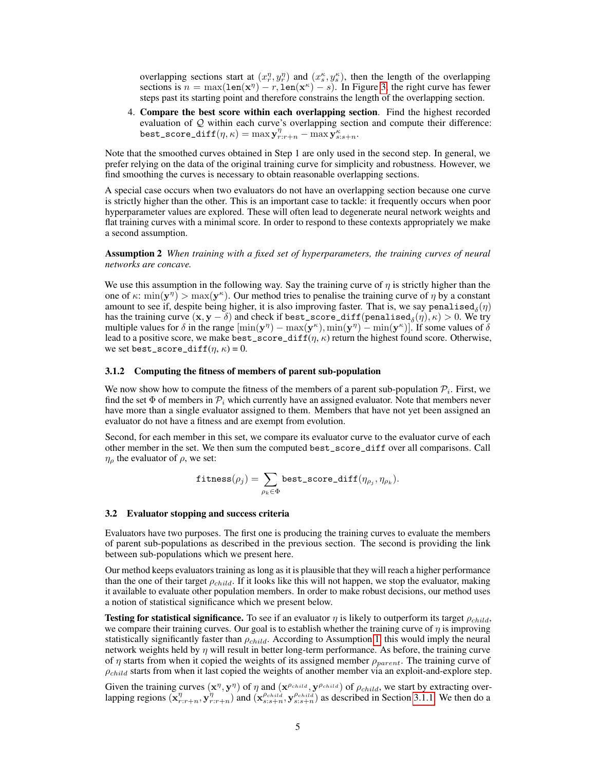overlapping sections start at  $(x_n^{\eta}, y_n^{\eta})$  and  $(x_s^{\kappa}, y_s^{\kappa})$ , then the length of the overlapping sections is  $n = \max(\text{len}(x^n) - r, \text{len}(x^{\kappa}) - s)$ . In Figure [3,](#page-3-1) the right curve has fewer steps past its starting point and therefore constrains the length of the overlapping section.

4. Compare the best score within each overlapping section. Find the highest recorded evaluation of  $Q$  within each curve's overlapping section and compute their difference: best\_score\_diff $(\eta, \kappa) = \max_{r:r+n} \frac{\sum_{s=s+n}^{n} \kappa}{r}$ 

Note that the smoothed curves obtained in Step 1 are only used in the second step. In general, we prefer relying on the data of the original training curve for simplicity and robustness. However, we find smoothing the curves is necessary to obtain reasonable overlapping sections.

A special case occurs when two evaluators do not have an overlapping section because one curve is strictly higher than the other. This is an important case to tackle: it frequently occurs when poor hyperparameter values are explored. These will often lead to degenerate neural network weights and flat training curves with a minimal score. In order to respond to these contexts appropriately we make a second assumption.

Assumption 2 *When training with a fixed set of hyperparameters, the training curves of neural networks are concave.*

We use this assumption in the following way. Say the training curve of  $\eta$  is strictly higher than the one of  $\kappa: \min(\mathbf{y}^{\eta}) > \max(\mathbf{y}^{\kappa})$ . Our method tries to penalise the training curve of  $\eta$  by a constant amount to see if, despite being higher, it is also improving faster. That is, we say penalised $_{\delta}(\eta)$ has the training curve  $(x, y - \delta)$  and check if best\_score\_diff(penalised<sub> $\delta(\eta), \kappa$ ) > 0. We try</sub> multiple values for  $\delta$  in the range  $[\min(\mathbf{y}^{\eta}) - \max(\mathbf{y}^{\kappa}), \min(\mathbf{y}^{\eta}) - \min(\mathbf{y}^{\kappa})]$ . If some values of  $\delta$ lead to a positive score, we make best\_score\_diff( $\eta$ ,  $\kappa$ ) return the highest found score. Otherwise, we set best\_score\_diff( $\eta$ ,  $\kappa$ ) = 0.

#### <span id="page-4-1"></span>3.1.2 Computing the fitness of members of parent sub-population

We now show how to compute the fitness of the members of a parent sub-population  $P_i$ . First, we find the set  $\Phi$  of members in  $\mathcal{P}_i$  which currently have an assigned evaluator. Note that members never have more than a single evaluator assigned to them. Members that have not yet been assigned an evaluator do not have a fitness and are exempt from evolution.

Second, for each member in this set, we compare its evaluator curve to the evaluator curve of each other member in the set. We then sum the computed best\_score\_diff over all comparisons. Call  $\eta_{\rho}$  the evaluator of  $\rho$ , we set:

$$
\mathtt{fitness}(\rho_j) = \sum_{\rho_k \in \Phi} \mathtt{best\_score\_diff}(\eta_{\rho_j}, \eta_{\rho_k}).
$$

#### <span id="page-4-0"></span>3.2 Evaluator stopping and success criteria

Evaluators have two purposes. The first one is producing the training curves to evaluate the members of parent sub-populations as described in the previous section. The second is providing the link between sub-populations which we present here.

Our method keeps evaluators training as long as it is plausible that they will reach a higher performance than the one of their target  $\rho_{child}$ . If it looks like this will not happen, we stop the evaluator, making it available to evaluate other population members. In order to make robust decisions, our method uses a notion of statistical significance which we present below.

**Testing for statistical significance.** To see if an evaluator  $\eta$  is likely to outperform its target  $\rho_{child}$ , we compare their training curves. Our goal is to establish whether the training curve of  $\eta$  is improving statistically significantly faster than  $\rho_{child}$ . According to Assumption [1,](#page-3-2) this would imply the neural network weights held by  $\eta$  will result in better long-term performance. As before, the training curve of  $\eta$  starts from when it copied the weights of its assigned member  $\rho_{parent}$ . The training curve of  $\rho_{child}$  starts from when it last copied the weights of another member via an exploit-and-explore step.

Given the training curves  $(x^{\eta}, y^{\eta})$  of  $\eta$  and  $(x^{\rho_{child}}, y^{\rho_{child}})$  of  $\rho_{child}$ , we start by extracting overlapping regions  $(\mathbf{x}_{r:r+n}^{\eta}, \mathbf{y}_{r:r+n}^{\eta})$  and  $(\mathbf{x}_{s:s+n}^{\rho_{child}}, \mathbf{y}_{s:s+n}^{\rho_{child}})$  as described in Section [3.1.1.](#page-3-0) We then do a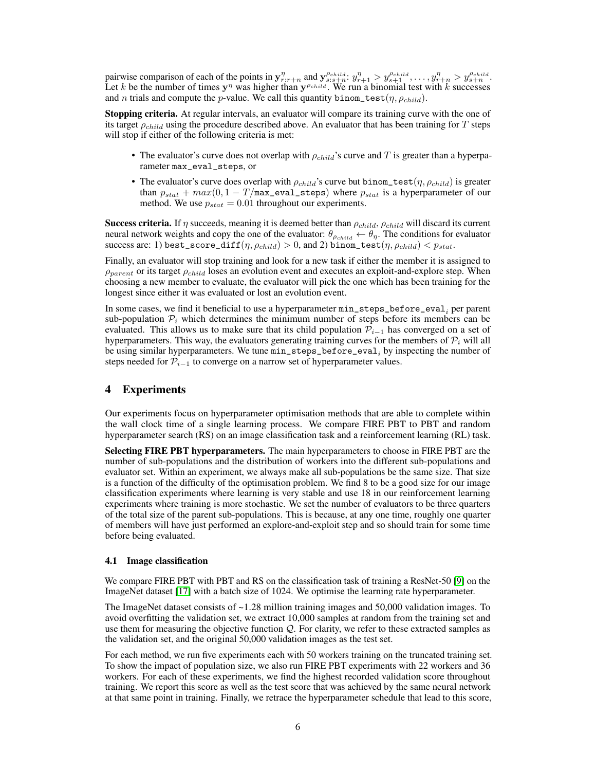pairwise comparison of each of the points in  $y_{r:r+n}^{\eta}$  and  $y_{s:s+n}^{\rho_{child}}$ :  $y_{r+1}^{\eta} > y_{s+1}^{\rho_{child}}$ , ...,  $y_{r+n}^{\eta} > y_{s+n}^{\rho_{child}}$ . Let k be the number of times  $y^{\eta}$  was higher than  $y^{\rho_{child}}$ . We run a binomial test with k successes and n trials and compute the p-value. We call this quantity binom\_test( $\eta$ ,  $\rho_{child}$ ).

Stopping criteria. At regular intervals, an evaluator will compare its training curve with the one of its target  $\rho_{child}$  using the procedure described above. An evaluator that has been training for T steps will stop if either of the following criteria is met:

- The evaluator's curve does not overlap with  $\rho_{child}$ 's curve and T is greater than a hyperparameter max\_eval\_steps, or
- The evaluator's curve does overlap with  $\rho_{child}$ 's curve but binom\_test $(\eta, \rho_{child})$  is greater than  $p_{stat} + max(0, 1 - T/\text{max\_eval\_steps})$  where  $p_{stat}$  is a hyperparameter of our method. We use  $p_{stat} = 0.01$  throughout our experiments.

Success criteria. If  $\eta$  succeeds, meaning it is deemed better than  $\rho_{child}$ ,  $\rho_{child}$  will discard its current neural network weights and copy the one of the evaluator:  $\theta_{\rho_{child}} \leftarrow \theta_{\eta}$ . The conditions for evaluator success are: 1) best\_score\_diff( $\eta$ ,  $\rho_{child}$ ) > 0, and 2) binom\_test( $\eta$ ,  $\rho_{child}$ ) <  $p_{stat}$ .

Finally, an evaluator will stop training and look for a new task if either the member it is assigned to  $\rho_{parent}$  or its target  $\rho_{child}$  loses an evolution event and executes an exploit-and-explore step. When choosing a new member to evaluate, the evaluator will pick the one which has been training for the longest since either it was evaluated or lost an evolution event.

In some cases, we find it beneficial to use a hyperparameter  $\texttt{min\_steps\_before\_eval}_i$  per parent sub-population  $P_i$  which determines the minimum number of steps before its members can be evaluated. This allows us to make sure that its child population  $\mathcal{P}_{i-1}$  has converged on a set of hyperparameters. This way, the evaluators generating training curves for the members of  $\mathcal{P}_i$  will all be using similar hyperparameters. We tune  $\mathtt{min\_steps\_before\_eval}_i$  by inspecting the number of steps needed for  $\mathcal{P}_{i-1}$  to converge on a narrow set of hyperparameter values.

## <span id="page-5-0"></span>4 Experiments

Our experiments focus on hyperparameter optimisation methods that are able to complete within the wall clock time of a single learning process. We compare FIRE PBT to PBT and random hyperparameter search (RS) on an image classification task and a reinforcement learning (RL) task.

Selecting FIRE PBT hyperparameters. The main hyperparameters to choose in FIRE PBT are the number of sub-populations and the distribution of workers into the different sub-populations and evaluator set. Within an experiment, we always make all sub-populations be the same size. That size is a function of the difficulty of the optimisation problem. We find 8 to be a good size for our image classification experiments where learning is very stable and use 18 in our reinforcement learning experiments where training is more stochastic. We set the number of evaluators to be three quarters of the total size of the parent sub-populations. This is because, at any one time, roughly one quarter of members will have just performed an explore-and-exploit step and so should train for some time before being evaluated.

#### 4.1 Image classification

We compare FIRE PBT with PBT and RS on the classification task of training a ResNet-50 [\[9\]](#page-9-12) on the ImageNet dataset [\[17\]](#page-9-7) with a batch size of 1024. We optimise the learning rate hyperparameter.

The ImageNet dataset consists of ~1.28 million training images and 50,000 validation images. To avoid overfitting the validation set, we extract 10,000 samples at random from the training set and use them for measuring the objective function  $Q$ . For clarity, we refer to these extracted samples as the validation set, and the original 50,000 validation images as the test set.

For each method, we run five experiments each with 50 workers training on the truncated training set. To show the impact of population size, we also run FIRE PBT experiments with 22 workers and 36 workers. For each of these experiments, we find the highest recorded validation score throughout training. We report this score as well as the test score that was achieved by the same neural network at that same point in training. Finally, we retrace the hyperparameter schedule that lead to this score,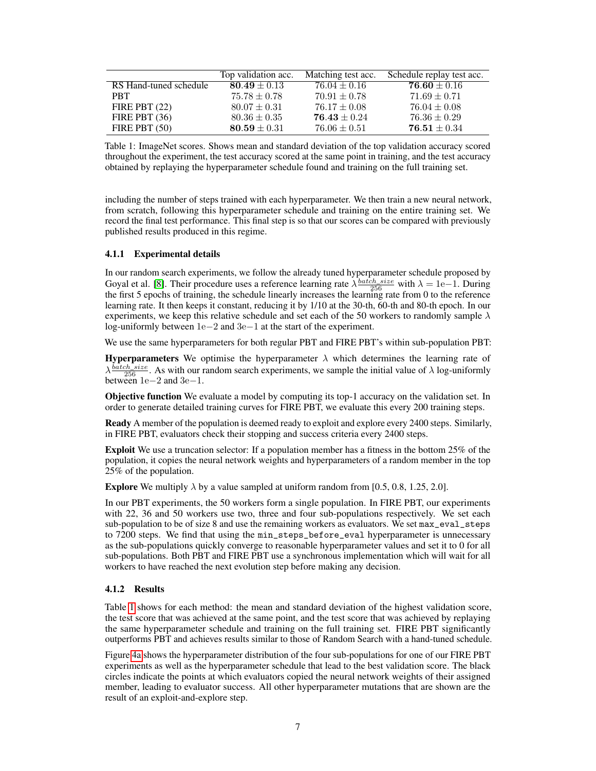<span id="page-6-0"></span>

|                        | Top validation acc. | Matching test acc. | Schedule replay test acc. |
|------------------------|---------------------|--------------------|---------------------------|
| RS Hand-tuned schedule | $80.49 \pm 0.13$    | $76.04 \pm 0.16$   | $76.60 \pm 0.16$          |
| <b>PRT</b>             | $75.78 \pm 0.78$    | $70.91 \pm 0.78$   | $71.69 \pm 0.71$          |
| FIRE PBT $(22)$        | $80.07 \pm 0.31$    | $76.17 \pm 0.08$   | $76.04 \pm 0.08$          |
| FIRE PBT $(36)$        | $80.36 \pm 0.35$    | $76.43 \pm 0.24$   | $76.36 \pm 0.29$          |
| FIRE PBT $(50)$        | $80.59 \pm 0.31$    | $76.06 \pm 0.51$   | $76.51 \pm 0.34$          |

Table 1: ImageNet scores. Shows mean and standard deviation of the top validation accuracy scored throughout the experiment, the test accuracy scored at the same point in training, and the test accuracy obtained by replaying the hyperparameter schedule found and training on the full training set.

including the number of steps trained with each hyperparameter. We then train a new neural network, from scratch, following this hyperparameter schedule and training on the entire training set. We record the final test performance. This final step is so that our scores can be compared with previously published results produced in this regime.

## 4.1.1 Experimental details

In our random search experiments, we follow the already tuned hyperparameter schedule proposed by Goyal et al. [\[8\]](#page-9-8). Their procedure uses a reference learning rate  $\lambda \frac{batch\_size}{256}$  with  $\lambda = 1e-1$ . During the first 5 epochs of training, the schedule linearly increases the learning rate from 0 to the reference learning rate. It then keeps it constant, reducing it by 1/10 at the 30-th, 60-th and 80-th epoch. In our experiments, we keep this relative schedule and set each of the 50 workers to randomly sample  $\lambda$ log-uniformly between 1e−2 and 3e−1 at the start of the experiment.

We use the same hyperparameters for both regular PBT and FIRE PBT's within sub-population PBT:

**Hyperparameters** We optimise the hyperparameter  $\lambda$  which determines the learning rate of  $\lambda \frac{batch\_size}{256}$ . As with our random search experiments, we sample the initial value of  $\lambda$  log-uniformly between 1e−2 and 3e−1.

Objective function We evaluate a model by computing its top-1 accuracy on the validation set. In order to generate detailed training curves for FIRE PBT, we evaluate this every 200 training steps.

Ready A member of the population is deemed ready to exploit and explore every 2400 steps. Similarly, in FIRE PBT, evaluators check their stopping and success criteria every 2400 steps.

Exploit We use a truncation selector: If a population member has a fitness in the bottom 25% of the population, it copies the neural network weights and hyperparameters of a random member in the top 25% of the population.

Explore We multiply  $\lambda$  by a value sampled at uniform random from [0.5, 0.8, 1.25, 2.0].

In our PBT experiments, the 50 workers form a single population. In FIRE PBT, our experiments with 22, 36 and 50 workers use two, three and four sub-populations respectively. We set each sub-population to be of size 8 and use the remaining workers as evaluators. We set max\_eval\_steps to  $7200$  steps. We find that using the min\_steps\_before\_eval hyperparameter is unnecessary as the sub-populations quickly converge to reasonable hyperparameter values and set it to 0 for all sub-populations. Both PBT and FIRE PBT use a synchronous implementation which will wait for all workers to have reached the next evolution step before making any decision.

#### 4.1.2 Results

Table [1](#page-6-0) shows for each method: the mean and standard deviation of the highest validation score, the test score that was achieved at the same point, and the test score that was achieved by replaying the same hyperparameter schedule and training on the full training set. FIRE PBT significantly outperforms PBT and achieves results similar to those of Random Search with a hand-tuned schedule.

Figure [4a](#page-7-0) shows the hyperparameter distribution of the four sub-populations for one of our FIRE PBT experiments as well as the hyperparameter schedule that lead to the best validation score. The black circles indicate the points at which evaluators copied the neural network weights of their assigned member, leading to evaluator success. All other hyperparameter mutations that are shown are the result of an exploit-and-explore step.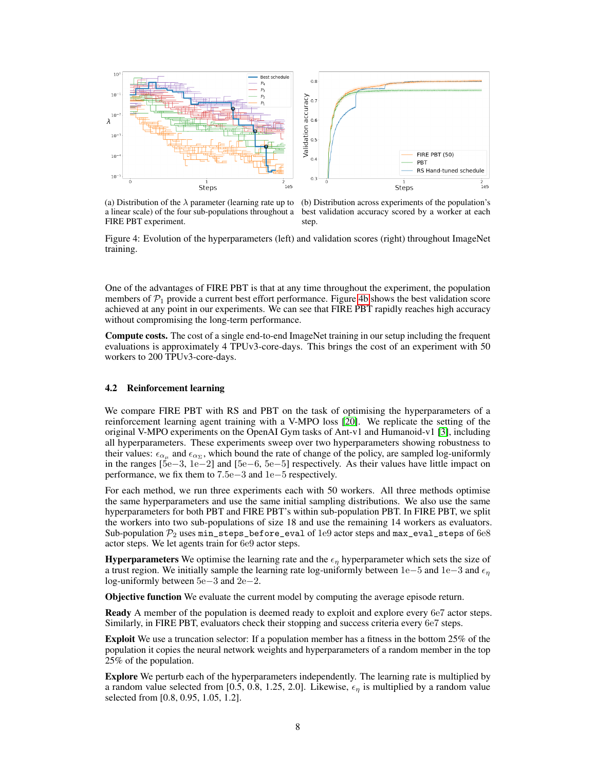<span id="page-7-0"></span>

a linear scale) of the four sub-populations throughout a best validation accuracy scored by a worker at each FIRE PBT experiment.

(a) Distribution of the  $\lambda$  parameter (learning rate up to (b) Distribution across experiments of the population's step.

Figure 4: Evolution of the hyperparameters (left) and validation scores (right) throughout ImageNet training.

One of the advantages of FIRE PBT is that at any time throughout the experiment, the population members of  $\mathcal{P}_1$  provide a current best effort performance. Figure [4b](#page-7-0) shows the best validation score achieved at any point in our experiments. We can see that FIRE PBT rapidly reaches high accuracy without compromising the long-term performance.

Compute costs. The cost of a single end-to-end ImageNet training in our setup including the frequent evaluations is approximately 4 TPUv3-core-days. This brings the cost of an experiment with 50 workers to 200 TPUv3-core-days.

### 4.2 Reinforcement learning

We compare FIRE PBT with RS and PBT on the task of optimising the hyperparameters of a reinforcement learning agent training with a V-MPO loss [\[20\]](#page-10-1). We replicate the setting of the original V-MPO experiments on the OpenAI Gym tasks of Ant-v1 and Humanoid-v1 [\[3\]](#page-9-9), including all hyperparameters. These experiments sweep over two hyperparameters showing robustness to their values:  $\epsilon_{\alpha_\mu}$  and  $\epsilon_{\alpha_\Sigma}$ , which bound the rate of change of the policy, are sampled log-uniformly in the ranges [5e−3, 1e−2] and [5e−6, 5e−5] respectively. As their values have little impact on performance, we fix them to 7.5e−3 and 1e−5 respectively.

For each method, we run three experiments each with 50 workers. All three methods optimise the same hyperparameters and use the same initial sampling distributions. We also use the same hyperparameters for both PBT and FIRE PBT's within sub-population PBT. In FIRE PBT, we split the workers into two sub-populations of size 18 and use the remaining 14 workers as evaluators. Sub-population  $\mathcal{P}_2$  uses min\_steps\_before\_eval of 1e9 actor steps and max\_eval\_steps of 6e8 actor steps. We let agents train for 6e9 actor steps.

**Hyperparameters** We optimise the learning rate and the  $\epsilon_n$  hyperparameter which sets the size of a trust region. We initially sample the learning rate log-uniformly between 1e−5 and 1e−3 and  $\epsilon_n$ log-uniformly between 5e−3 and 2e−2.

Objective function We evaluate the current model by computing the average episode return.

Ready A member of the population is deemed ready to exploit and explore every 6e7 actor steps. Similarly, in FIRE PBT, evaluators check their stopping and success criteria every 6e7 steps.

Exploit We use a truncation selector: If a population member has a fitness in the bottom 25% of the population it copies the neural network weights and hyperparameters of a random member in the top 25% of the population.

Explore We perturb each of the hyperparameters independently. The learning rate is multiplied by a random value selected from [0.5, 0.8, 1.25, 2.0]. Likewise,  $\epsilon_n$  is multiplied by a random value selected from [0.8, 0.95, 1.05, 1.2].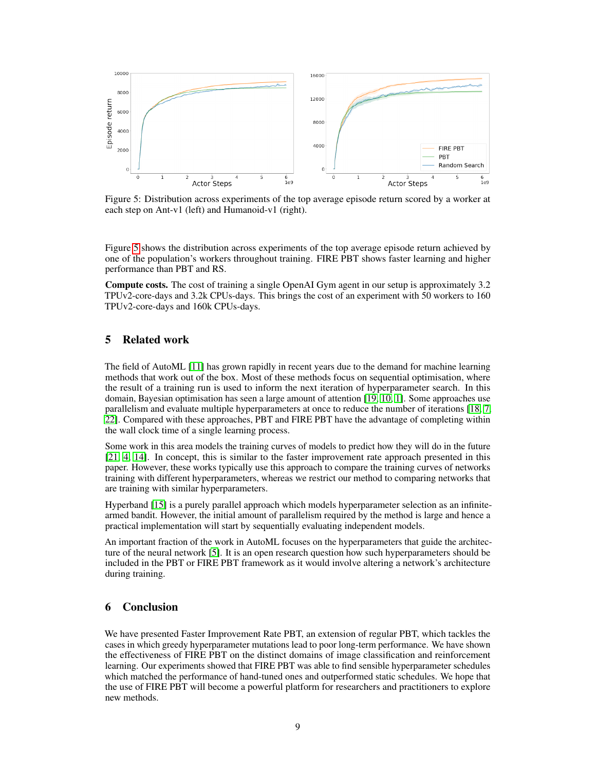<span id="page-8-2"></span>

Figure 5: Distribution across experiments of the top average episode return scored by a worker at each step on Ant-v1 (left) and Humanoid-v1 (right).

Figure [5](#page-8-2) shows the distribution across experiments of the top average episode return achieved by one of the population's workers throughout training. FIRE PBT shows faster learning and higher performance than PBT and RS.

Compute costs. The cost of training a single OpenAI Gym agent in our setup is approximately 3.2 TPUv2-core-days and 3.2k CPUs-days. This brings the cost of an experiment with 50 workers to 160 TPUv2-core-days and 160k CPUs-days.

## <span id="page-8-0"></span>5 Related work

The field of AutoML [\[11\]](#page-9-0) has grown rapidly in recent years due to the demand for machine learning methods that work out of the box. Most of these methods focus on sequential optimisation, where the result of a training run is used to inform the next iteration of hyperparameter search. In this domain, Bayesian optimisation has seen a large amount of attention [\[19,](#page-10-0) [10,](#page-9-1) [1\]](#page-9-2). Some approaches use parallelism and evaluate multiple hyperparameters at once to reduce the number of iterations [\[18,](#page-10-2) [7,](#page-9-13) [22\]](#page-10-3). Compared with these approaches, PBT and FIRE PBT have the advantage of completing within the wall clock time of a single learning process.

Some work in this area models the training curves of models to predict how they will do in the future [\[21,](#page-10-4) [4,](#page-9-14) [14\]](#page-9-15). In concept, this is similar to the faster improvement rate approach presented in this paper. However, these works typically use this approach to compare the training curves of networks training with different hyperparameters, whereas we restrict our method to comparing networks that are training with similar hyperparameters.

Hyperband [\[15\]](#page-9-3) is a purely parallel approach which models hyperparameter selection as an infinitearmed bandit. However, the initial amount of parallelism required by the method is large and hence a practical implementation will start by sequentially evaluating independent models.

An important fraction of the work in AutoML focuses on the hyperparameters that guide the architecture of the neural network [\[5\]](#page-9-16). It is an open research question how such hyperparameters should be included in the PBT or FIRE PBT framework as it would involve altering a network's architecture during training.

# <span id="page-8-1"></span>6 Conclusion

We have presented Faster Improvement Rate PBT, an extension of regular PBT, which tackles the cases in which greedy hyperparameter mutations lead to poor long-term performance. We have shown the effectiveness of FIRE PBT on the distinct domains of image classification and reinforcement learning. Our experiments showed that FIRE PBT was able to find sensible hyperparameter schedules which matched the performance of hand-tuned ones and outperformed static schedules. We hope that the use of FIRE PBT will become a powerful platform for researchers and practitioners to explore new methods.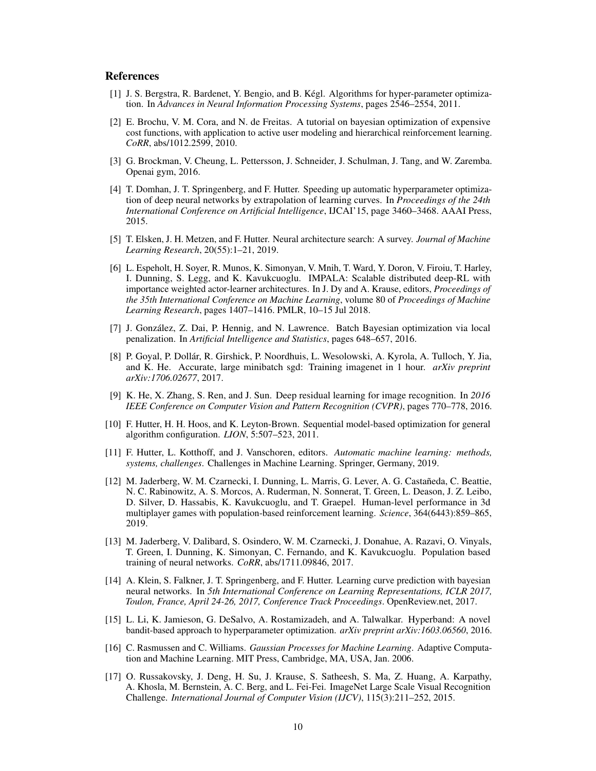## **References**

- <span id="page-9-2"></span>[1] J. S. Bergstra, R. Bardenet, Y. Bengio, and B. Kégl. Algorithms for hyper-parameter optimization. In *Advances in Neural Information Processing Systems*, pages 2546–2554, 2011.
- <span id="page-9-10"></span>[2] E. Brochu, V. M. Cora, and N. de Freitas. A tutorial on bayesian optimization of expensive cost functions, with application to active user modeling and hierarchical reinforcement learning. *CoRR*, abs/1012.2599, 2010.
- <span id="page-9-9"></span>[3] G. Brockman, V. Cheung, L. Pettersson, J. Schneider, J. Schulman, J. Tang, and W. Zaremba. Openai gym, 2016.
- <span id="page-9-14"></span>[4] T. Domhan, J. T. Springenberg, and F. Hutter. Speeding up automatic hyperparameter optimization of deep neural networks by extrapolation of learning curves. In *Proceedings of the 24th International Conference on Artificial Intelligence*, IJCAI'15, page 3460–3468. AAAI Press, 2015.
- <span id="page-9-16"></span>[5] T. Elsken, J. H. Metzen, and F. Hutter. Neural architecture search: A survey. *Journal of Machine Learning Research*, 20(55):1–21, 2019.
- <span id="page-9-5"></span>[6] L. Espeholt, H. Soyer, R. Munos, K. Simonyan, V. Mnih, T. Ward, Y. Doron, V. Firoiu, T. Harley, I. Dunning, S. Legg, and K. Kavukcuoglu. IMPALA: Scalable distributed deep-RL with importance weighted actor-learner architectures. In J. Dy and A. Krause, editors, *Proceedings of the 35th International Conference on Machine Learning*, volume 80 of *Proceedings of Machine Learning Research*, pages 1407–1416. PMLR, 10–15 Jul 2018.
- <span id="page-9-13"></span>[7] J. González, Z. Dai, P. Hennig, and N. Lawrence. Batch Bayesian optimization via local penalization. In *Artificial Intelligence and Statistics*, pages 648–657, 2016.
- <span id="page-9-8"></span>[8] P. Goyal, P. Dollár, R. Girshick, P. Noordhuis, L. Wesolowski, A. Kyrola, A. Tulloch, Y. Jia, and K. He. Accurate, large minibatch sgd: Training imagenet in 1 hour. *arXiv preprint arXiv:1706.02677*, 2017.
- <span id="page-9-12"></span>[9] K. He, X. Zhang, S. Ren, and J. Sun. Deep residual learning for image recognition. In *2016 IEEE Conference on Computer Vision and Pattern Recognition (CVPR)*, pages 770–778, 2016.
- <span id="page-9-1"></span>[10] F. Hutter, H. H. Hoos, and K. Leyton-Brown. Sequential model-based optimization for general algorithm configuration. *LION*, 5:507–523, 2011.
- <span id="page-9-0"></span>[11] F. Hutter, L. Kotthoff, and J. Vanschoren, editors. *Automatic machine learning: methods, systems, challenges*. Challenges in Machine Learning. Springer, Germany, 2019.
- <span id="page-9-6"></span>[12] M. Jaderberg, W. M. Czarnecki, I. Dunning, L. Marris, G. Lever, A. G. Castañeda, C. Beattie, N. C. Rabinowitz, A. S. Morcos, A. Ruderman, N. Sonnerat, T. Green, L. Deason, J. Z. Leibo, D. Silver, D. Hassabis, K. Kavukcuoglu, and T. Graepel. Human-level performance in 3d multiplayer games with population-based reinforcement learning. *Science*, 364(6443):859–865, 2019.
- <span id="page-9-4"></span>[13] M. Jaderberg, V. Dalibard, S. Osindero, W. M. Czarnecki, J. Donahue, A. Razavi, O. Vinyals, T. Green, I. Dunning, K. Simonyan, C. Fernando, and K. Kavukcuoglu. Population based training of neural networks. *CoRR*, abs/1711.09846, 2017.
- <span id="page-9-15"></span>[14] A. Klein, S. Falkner, J. T. Springenberg, and F. Hutter. Learning curve prediction with bayesian neural networks. In *5th International Conference on Learning Representations, ICLR 2017, Toulon, France, April 24-26, 2017, Conference Track Proceedings*. OpenReview.net, 2017.
- <span id="page-9-3"></span>[15] L. Li, K. Jamieson, G. DeSalvo, A. Rostamizadeh, and A. Talwalkar. Hyperband: A novel bandit-based approach to hyperparameter optimization. *arXiv preprint arXiv:1603.06560*, 2016.
- <span id="page-9-11"></span>[16] C. Rasmussen and C. Williams. *Gaussian Processes for Machine Learning*. Adaptive Computation and Machine Learning. MIT Press, Cambridge, MA, USA, Jan. 2006.
- <span id="page-9-7"></span>[17] O. Russakovsky, J. Deng, H. Su, J. Krause, S. Satheesh, S. Ma, Z. Huang, A. Karpathy, A. Khosla, M. Bernstein, A. C. Berg, and L. Fei-Fei. ImageNet Large Scale Visual Recognition Challenge. *International Journal of Computer Vision (IJCV)*, 115(3):211–252, 2015.